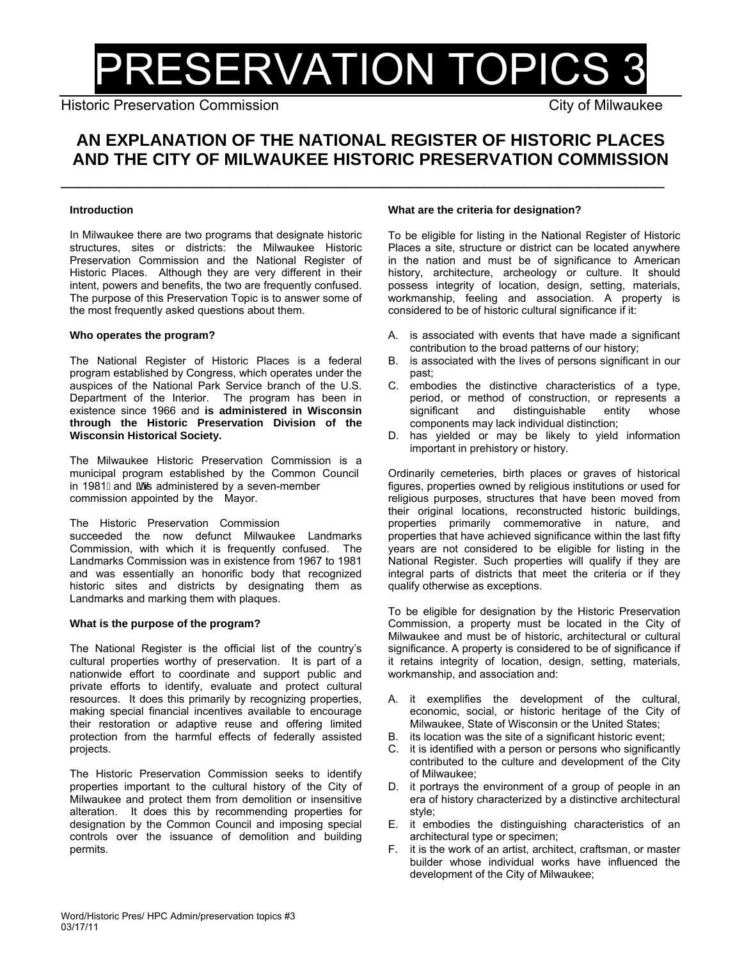# PRESERVATION TOPICS 3

Historic Preservation Commission Commission City of Milwaukee

# **AN EXPLANATION OF THE NATIONAL REGISTER OF HISTORIC PLACES AND THE CITY OF MILWAUKEE HISTORIC PRESERVATION COMMISSION**

\_\_\_\_\_\_\_\_\_\_\_\_\_\_\_\_\_\_\_\_\_\_\_\_\_\_\_\_\_\_\_\_\_\_\_\_\_\_\_\_\_\_\_\_\_\_\_\_\_\_\_\_\_\_\_\_\_\_\_\_\_\_\_\_

# **Introduction**

In Milwaukee there are two programs that designate historic structures, sites or districts: the Milwaukee Historic Preservation Commission and the National Register of Historic Places. Although they are very different in their intent, powers and benefits, the two are frequently confused. The purpose of this Preservation Topic is to answer some of the most frequently asked questions about them.

# **Who operates the program?**

The National Register of Historic Places is a federal program established by Congress, which operates under the auspices of the National Park Service branch of the U.S. Department of the Interior. The program has been in existence since 1966 and **is administered in Wisconsin through the Historic Preservation Division of the Wisconsin Historical Society.** 

The Milwaukee Historic Preservation Commission is a municipal program established by the Common Council in 1981 Eand and administered by a seven-member commission appointed by the Mayor.

# The Historic Preservation Commission

succeeded the now defunct Milwaukee Landmarks Commission, with which it is frequently confused. The Landmarks Commission was in existence from 1967 to 1981 and was essentially an honorific body that recognized historic sites and districts by designating them as Landmarks and marking them with plaques.

# **What is the purpose of the program?**

The National Register is the official list of the country's cultural properties worthy of preservation. It is part of a nationwide effort to coordinate and support public and private efforts to identify, evaluate and protect cultural resources. It does this primarily by recognizing properties, making special financial incentives available to encourage their restoration or adaptive reuse and offering limited protection from the harmful effects of federally assisted projects.

The Historic Preservation Commission seeks to identify properties important to the cultural history of the City of Milwaukee and protect them from demolition or insensitive alteration. It does this by recommending properties for designation by the Common Council and imposing special controls over the issuance of demolition and building permits.

# **What are the criteria for designation?**

To be eligible for listing in the National Register of Historic Places a site, structure or district can be located anywhere in the nation and must be of significance to American history, architecture, archeology or culture. It should possess integrity of location, design, setting, materials, workmanship, feeling and association. A property is considered to be of historic cultural significance if it:

- A. is associated with events that have made a significant contribution to the broad patterns of our history;
- B. is associated with the lives of persons significant in our past;
- C. embodies the distinctive characteristics of a type, period, or method of construction, or represents a significant and distinguishable entity whose components may lack individual distinction;
- D. has yielded or may be likely to yield information important in prehistory or history.

Ordinarily cemeteries, birth places or graves of historical figures, properties owned by religious institutions or used for religious purposes, structures that have been moved from their original locations, reconstructed historic buildings, properties primarily commemorative in nature, and properties that have achieved significance within the last fifty years are not considered to be eligible for listing in the National Register. Such properties will qualify if they are integral parts of districts that meet the criteria or if they qualify otherwise as exceptions.

To be eligible for designation by the Historic Preservation Commission, a property must be located in the City of Milwaukee and must be of historic, architectural or cultural significance. A property is considered to be of significance if it retains integrity of location, design, setting, materials, workmanship, and association and:

- A. it exemplifies the development of the cultural, economic, social, or historic heritage of the City of Milwaukee, State of Wisconsin or the United States;
- B. its location was the site of a significant historic event;
- C. it is identified with a person or persons who significantly contributed to the culture and development of the City of Milwaukee;
- D. it portrays the environment of a group of people in an era of history characterized by a distinctive architectural style;
- E. it embodies the distinguishing characteristics of an architectural type or specimen;
- F. it is the work of an artist, architect, craftsman, or master builder whose individual works have influenced the development of the City of Milwaukee;